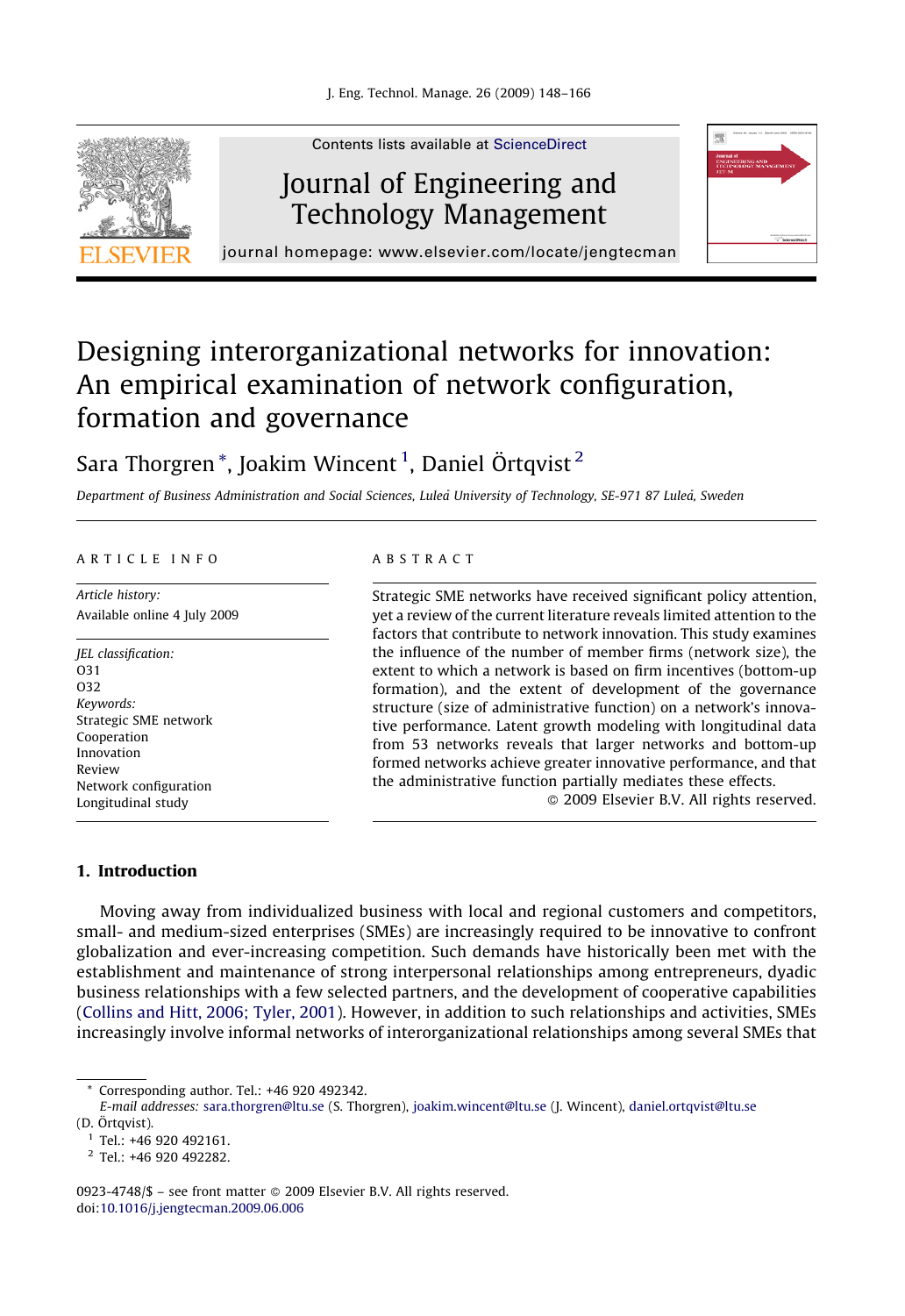

Contents lists available at [ScienceDirect](http://www.sciencedirect.com/science/journal/09234748)

## Journal of Engineering and Technology Management



journal homepage: www.elsevier.com/locate/jengtecman

### Designing interorganizational networks for innovation: An empirical examination of network configuration, formation and governance

Sara Thorgren\*, Joakim Wincent<sup>1</sup>, Daniel Örtqvist<sup>2</sup>

Department of Business Administration and Social Sciences, Lulea University of Technology, SE-971 87 Lulea, Sweden

#### ARTICLE INFO

Article history: Available online 4 July 2009

JEL classification: O31 O32 Keywords: Strategic SME network Cooperation Innovation Review Network configuration Longitudinal study

#### ABSTRACT

Strategic SME networks have received significant policy attention, yet a review of the current literature reveals limited attention to the factors that contribute to network innovation. This study examines the influence of the number of member firms (network size), the extent to which a network is based on firm incentives (bottom-up formation), and the extent of development of the governance structure (size of administrative function) on a network's innovative performance. Latent growth modeling with longitudinal data from 53 networks reveals that larger networks and bottom-up formed networks achieve greater innovative performance, and that the administrative function partially mediates these effects.

- 2009 Elsevier B.V. All rights reserved.

### 1. Introduction

Moving away from individualized business with local and regional customers and competitors, small- and medium-sized enterprises (SMEs) are increasingly required to be innovative to confront globalization and ever-increasing competition. Such demands have historically been met with the establishment and maintenance of strong interpersonal relationships among entrepreneurs, dyadic business relationships with a few selected partners, and the development of cooperative capabilities ([Collins and Hitt, 2006; Tyler, 2001](#page--1-0)). However, in addition to such relationships and activities, SMEs increasingly involve informal networks of interorganizational relationships among several SMEs that

\* Corresponding author. Tel.: +46 920 492342.

0923-4748/\$ – see front matter © 2009 Elsevier B.V. All rights reserved. doi:[10.1016/j.jengtecman.2009.06.006](http://dx.doi.org/10.1016/j.jengtecman.2009.06.006)

E-mail addresses: [sara.thorgren@ltu.se](mailto:sara.thorgren@ltu.se) (S. Thorgren), [joakim.wincent@ltu.se](mailto:joakim.wincent@ltu.se) (J. Wincent), [daniel.ortqvist@ltu.se](mailto:daniel.ortqvist@ltu.se) (D. Örtqvist).

 $1$  Tel.: +46 920 492161.

<sup>2</sup> Tel.: +46 920 492282.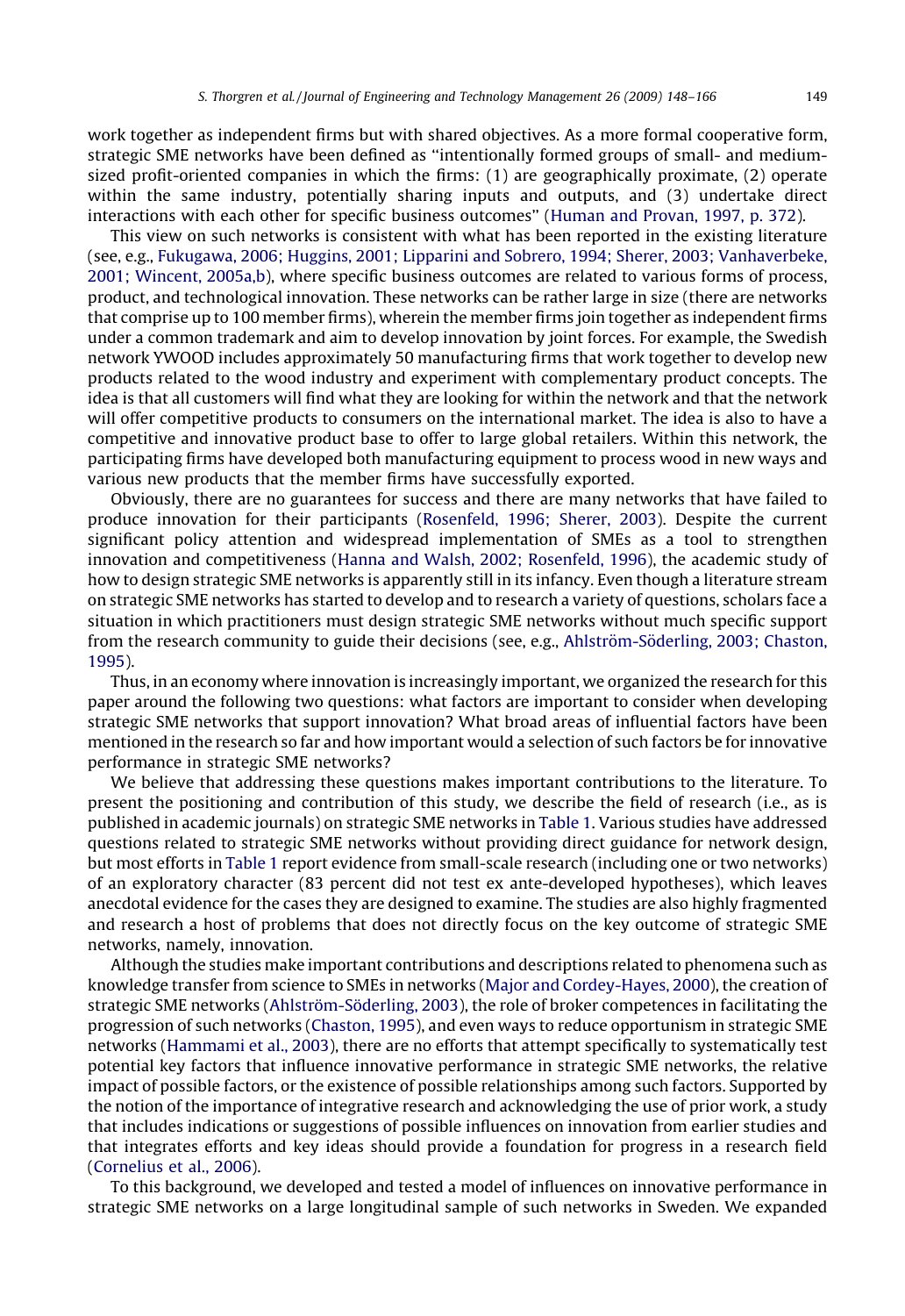work together as independent firms but with shared objectives. As a more formal cooperative form, strategic SME networks have been defined as ''intentionally formed groups of small- and mediumsized profit-oriented companies in which the firms: (1) are geographically proximate, (2) operate within the same industry, potentially sharing inputs and outputs, and (3) undertake direct interactions with each other for specific business outcomes'' ([Human and Provan, 1997, p. 372\)](#page--1-0).

This view on such networks is consistent with what has been reported in the existing literature (see, e.g., [Fukugawa, 2006; Huggins, 2001; Lipparini and Sobrero, 1994; Sherer, 2003; Vanhaverbeke,](#page--1-0) [2001; Wincent, 2005a,b](#page--1-0)), where specific business outcomes are related to various forms of process, product, and technological innovation. These networks can be rather large in size (there are networks that comprise up to 100 member firms), wherein the member firms join together as independent firms under a common trademark and aim to develop innovation by joint forces. For example, the Swedish network YWOOD includes approximately 50 manufacturing firms that work together to develop new products related to the wood industry and experiment with complementary product concepts. The idea is that all customers will find what they are looking for within the network and that the network will offer competitive products to consumers on the international market. The idea is also to have a competitive and innovative product base to offer to large global retailers. Within this network, the participating firms have developed both manufacturing equipment to process wood in new ways and various new products that the member firms have successfully exported.

Obviously, there are no guarantees for success and there are many networks that have failed to produce innovation for their participants ([Rosenfeld, 1996; Sherer, 2003\)](#page--1-0). Despite the current significant policy attention and widespread implementation of SMEs as a tool to strengthen innovation and competitiveness ([Hanna and Walsh, 2002; Rosenfeld, 1996\)](#page--1-0), the academic study of how to design strategic SME networks is apparently still in its infancy. Even though a literature stream on strategic SME networks has started to develop and to research a variety of questions, scholars face a situation in which practitioners must design strategic SME networks without much specific support from the research community to guide their decisions (see, e.g., Ahlström-Söderling, 2003; Chaston, [1995\)](#page--1-0).

Thus, in an economy where innovation is increasingly important, we organized the research for this paper around the following two questions: what factors are important to consider when developing strategic SME networks that support innovation? What broad areas of influential factors have been mentioned in the research so far and how important would a selection of such factors be for innovative performance in strategic SME networks?

We believe that addressing these questions makes important contributions to the literature. To present the positioning and contribution of this study, we describe the field of research (i.e., as is published in academic journals) on strategic SME networks in [Table 1](#page--1-0). Various studies have addressed questions related to strategic SME networks without providing direct guidance for network design, but most efforts in [Table 1](#page--1-0) report evidence from small-scale research (including one or two networks) of an exploratory character (83 percent did not test ex ante-developed hypotheses), which leaves anecdotal evidence for the cases they are designed to examine. The studies are also highly fragmented and research a host of problems that does not directly focus on the key outcome of strategic SME networks, namely, innovation.

Although the studies make important contributions and descriptions related to phenomena such as knowledge transfer from science to SMEs in networks [\(Major and Cordey-Hayes, 2000](#page--1-0)), the creation of strategic SME networks (Ahlström-Söderling, 2003), the role of broker competences in facilitating the progression of such networks [\(Chaston, 1995\)](#page--1-0), and even ways to reduce opportunism in strategic SME networks [\(Hammami et al., 2003](#page--1-0)), there are no efforts that attempt specifically to systematically test potential key factors that influence innovative performance in strategic SME networks, the relative impact of possible factors, or the existence of possible relationships among such factors. Supported by the notion of the importance of integrative research and acknowledging the use of prior work, a study that includes indications or suggestions of possible influences on innovation from earlier studies and that integrates efforts and key ideas should provide a foundation for progress in a research field [\(Cornelius et al., 2006](#page--1-0)).

To this background, we developed and tested a model of influences on innovative performance in strategic SME networks on a large longitudinal sample of such networks in Sweden. We expanded